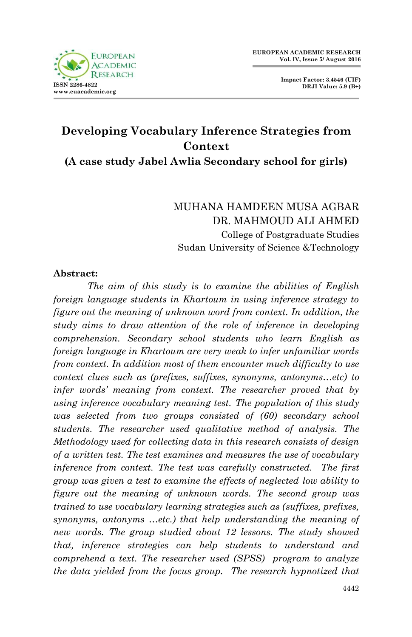

# **Developing Vocabulary Inference Strategies from Context**

**(A case study Jabel Awlia Secondary school for girls)**

# MUHANA HAMDEEN MUSA AGBAR DR. MAHMOUD ALI AHMED College of Postgraduate Studies Sudan University of Science &Technology

#### **Abstract:**

*The aim of this study is to examine the abilities of English foreign language students in Khartoum in using inference strategy to figure out the meaning of unknown word from context. In addition, the study aims to draw attention of the role of inference in developing comprehension. Secondary school students who learn English as foreign language in Khartoum are very weak to infer unfamiliar words from context. In addition most of them encounter much difficulty to use context clues such as (prefixes, suffixes, synonyms, antonyms…etc) to infer words' meaning from context. The researcher proved that by using inference vocabulary meaning test. The population of this study was selected from two groups consisted of (60) secondary school students. The researcher used qualitative method of analysis. The Methodology used for collecting data in this research consists of design of a written test. The test examines and measures the use of vocabulary inference from context. The test was carefully constructed. The first group was given a test to examine the effects of neglected low ability to figure out the meaning of unknown words. The second group was trained to use vocabulary learning strategies such as (suffixes, prefixes, synonyms, antonyms …etc.) that help understanding the meaning of new words. The group studied about 12 lessons. The study showed that, inference strategies can help students to understand and comprehend a text. The researcher used (SPSS) program to analyze the data yielded from the focus group. The research hypnotized that*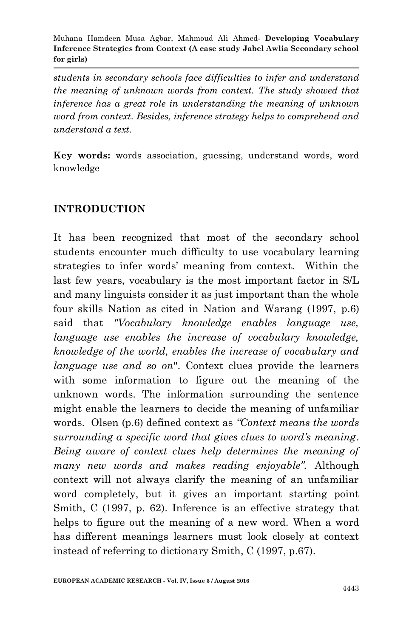*students in secondary schools face difficulties to infer and understand the meaning of unknown words from context. The study showed that inference has a great role in understanding the meaning of unknown word from context. Besides, inference strategy helps to comprehend and understand a text.* 

**Key words:** words association, guessing, understand words, word knowledge

## **INTRODUCTION**

It has been recognized that most of the secondary school students encounter much difficulty to use vocabulary learning strategies to infer words' meaning from context. Within the last few years, vocabulary is the most important factor in S/L and many linguists consider it as just important than the whole four skills Nation as cited in Nation and Warang (1997, p.6) said that *"Vocabulary knowledge enables language use, language use enables the increase of vocabulary knowledge, knowledge of the world, enables the increase of vocabulary and language use and so on*". Context clues provide the learners with some information to figure out the meaning of the unknown words. The information surrounding the sentence might enable the learners to decide the meaning of unfamiliar words. Olsen (p.6) defined context as *"Context means the words surrounding a specific word that gives clues to word's meaning*. *Being aware of context clues help determines the meaning of many new words and makes reading enjoyable".* Although context will not always clarify the meaning of an unfamiliar word completely, but it gives an important starting point Smith, C (1997, p. 62). Inference is an effective strategy that helps to figure out the meaning of a new word. When a word has different meanings learners must look closely at context instead of referring to dictionary Smith, C (1997, p.67).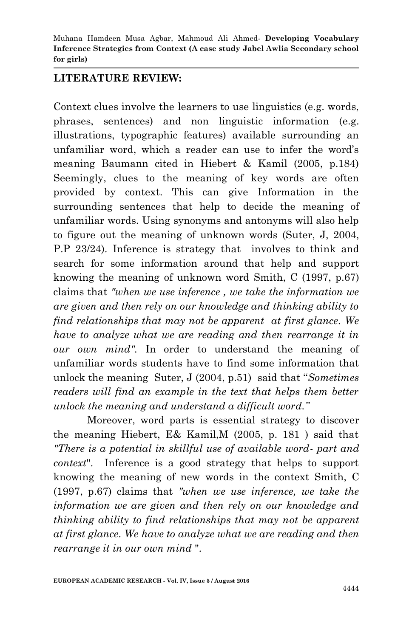## **LITERATURE REVIEW:**

Context clues involve the learners to use linguistics (e.g. words, phrases, sentences) and non linguistic information (e.g. illustrations, typographic features) available surrounding an unfamiliar word, which a reader can use to infer the word's meaning Baumann cited in Hiebert & Kamil (2005, p.184) Seemingly, clues to the meaning of key words are often provided by context. This can give Information in the surrounding sentences that help to decide the meaning of unfamiliar words. Using synonyms and antonyms will also help to figure out the meaning of unknown words (Suter, J, 2004, P.P 23/24). Inference is strategy that involves to think and search for some information around that help and support knowing the meaning of unknown word Smith, C (1997, p.67) claims that *"when we use inference , we take the information we are given and then rely on our knowledge and thinking ability to find relationships that may not be apparent at first glance. We have to analyze what we are reading and then rearrange it in our own mind".* In order to understand the meaning of unfamiliar words students have to find some information that unlock the meaning Suter, J (2004, p.51) said that "*Sometimes readers will find an example in the text that helps them better unlock the meaning and understand a difficult word."*

 Moreover, word parts is essential strategy to discover the meaning Hiebert, E& Kamil,M (2005, p. 181 ) said that *"There is a potential in skillful use of available word- part and context*".Inference is a good strategy that helps to support knowing the meaning of new words in the context Smith, C (1997, p.67) claims that *"when we use inference, we take the information we are given and then rely on our knowledge and thinking ability to find relationships that may not be apparent at first glance. We have to analyze what we are reading and then rearrange it in our own mind* ".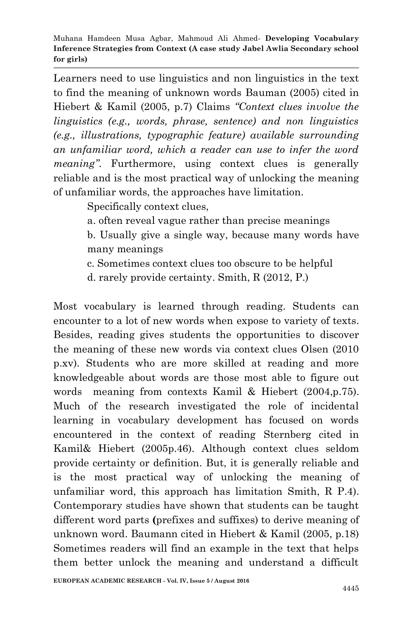Learners need to use linguistics and non linguistics in the text to find the meaning of unknown words Bauman (2005) cited in Hiebert & Kamil (2005, p.7) Claims *"Context clues involve the linguistics (e.g., words, phrase, sentence) and non linguistics (e.g., illustrations, typographic feature) available surrounding an unfamiliar word, which a reader can use to infer the word meaning*". Furthermore, using context clues is generally reliable and is the most practical way of unlocking the meaning of unfamiliar words, the approaches have limitation.

Specifically context clues,

a. often reveal vague rather than precise meanings

b. Usually give a single way, because many words have many meanings

c. Sometimes context clues too obscure to be helpful

d. rarely provide certainty. Smith, R (2012, P.)

Most vocabulary is learned through reading. Students can encounter to a lot of new words when expose to variety of texts. Besides, reading gives students the opportunities to discover the meaning of these new words via context clues Olsen (2010 p.xv). Students who are more skilled at reading and more knowledgeable about words are those most able to figure out words meaning from contexts Kamil & Hiebert (2004,p.75). Much of the research investigated the role of incidental learning in vocabulary development has focused on words encountered in the context of reading Sternberg cited in Kamil& Hiebert (2005p.46). Although context clues seldom provide certainty or definition. But, it is generally reliable and is the most practical way of unlocking the meaning of unfamiliar word, this approach has limitation Smith, R P.4). Contemporary studies have shown that students can be taught different word parts **(**prefixes and suffixes) to derive meaning of unknown word. Baumann cited in Hiebert & Kamil (2005, p.18) Sometimes readers will find an example in the text that helps them better unlock the meaning and understand a difficult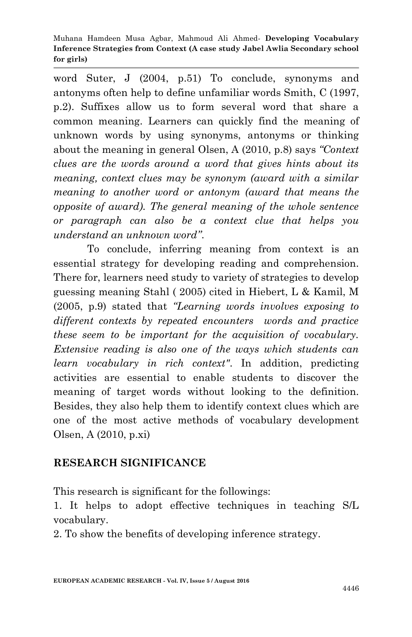word Suter, J (2004, p.51) To conclude, synonyms and antonyms often help to define unfamiliar words Smith, C (1997, p.2). Suffixes allow us to form several word that share a common meaning. Learners can quickly find the meaning of unknown words by using synonyms, antonyms or thinking about the meaning in general Olsen, A (2010, p.8) says *"Context clues are the words around a word that gives hints about its meaning, context clues may be synonym (award with a similar meaning to another word or antonym (award that means the opposite of award). The general meaning of the whole sentence or paragraph can also be a context clue that helps you understand an unknown word"*.

 To conclude, inferring meaning from context is an essential strategy for developing reading and comprehension. There for, learners need study to variety of strategies to develop guessing meaning Stahl ( 2005) cited in Hiebert, L & Kamil, M (2005, p.9) stated that *"Learning words involves exposing to different contexts by repeated encounters words and practice these seem to be important for the acquisition of vocabulary. Extensive reading is also one of the ways which students can learn vocabulary in rich context"*. In addition, predicting activities are essential to enable students to discover the meaning of target words without looking to the definition. Besides, they also help them to identify context clues which are one of the most active methods of vocabulary development Olsen, A (2010, p.xi)

## **RESEARCH SIGNIFICANCE**

This research is significant for the followings:

1. It helps to adopt effective techniques in teaching S/L vocabulary.

2. To show the benefits of developing inference strategy.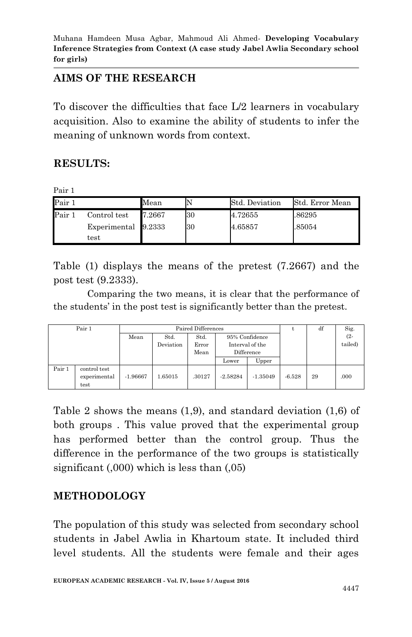## **AIMS OF THE RESEARCH**

To discover the difficulties that face L/2 learners in vocabulary acquisition. Also to examine the ability of students to infer the meaning of unknown words from context.

#### **RESULTS:**

Pair 1

| Pair 1 |                                      | Mean   |    | Std. Deviation | Std. Error Mean |
|--------|--------------------------------------|--------|----|----------------|-----------------|
| Pair 1 | Control test                         | 7.2667 | 30 | 4.72655        | .86295          |
|        | Experimental 9.2333<br>$_{\rm test}$ |        | 30 | 4.65857        | .85054          |

Table (1) displays the means of the pretest (7.2667) and the post test (9.2333).

Comparing the two means, it is clear that the performance of the students' in the post test is significantly better than the pretest.

| Pair 1 |                                      | Paired Differences |                   |                       |                                                 |            |          | df | Sig.              |
|--------|--------------------------------------|--------------------|-------------------|-----------------------|-------------------------------------------------|------------|----------|----|-------------------|
|        |                                      | Mean               | Std.<br>Deviation | Std.<br>Error<br>Mean | 95% Confidence<br>Interval of the<br>Difference |            |          |    | $(2 -$<br>tailed) |
|        |                                      |                    |                   |                       | Lower                                           | Upper      |          |    |                   |
| Pair 1 | control test<br>experimental<br>test | $-1.96667$         | 1.65015           | .30127                | $-2.58284$                                      | $-1.35049$ | $-6.528$ | 29 | .000              |

Table 2 shows the means (1,9), and standard deviation (1,6) of both groups . This value proved that the experimental group has performed better than the control group. Thus the difference in the performance of the two groups is statistically significant (,000) which is less than (,05)

## **METHODOLOGY**

The population of this study was selected from secondary school students in Jabel Awlia in Khartoum state. It included third level students. All the students were female and their ages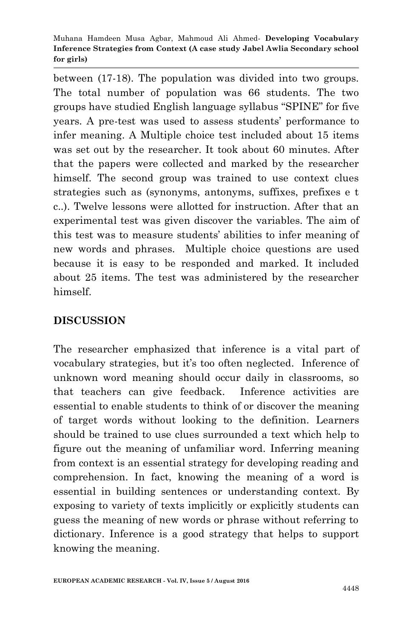between (17-18). The population was divided into two groups. The total number of population was 66 students. The two groups have studied English language syllabus "SPINE" for five years. A pre-test was used to assess students' performance to infer meaning. A Multiple choice test included about 15 items was set out by the researcher. It took about 60 minutes. After that the papers were collected and marked by the researcher himself. The second group was trained to use context clues strategies such as (synonyms, antonyms, suffixes, prefixes e t c..). Twelve lessons were allotted for instruction. After that an experimental test was given discover the variables. The aim of this test was to measure students' abilities to infer meaning of new words and phrases. Multiple choice questions are used because it is easy to be responded and marked. It included about 25 items. The test was administered by the researcher himself.

# **DISCUSSION**

The researcher emphasized that inference is a vital part of vocabulary strategies, but it's too often neglected. Inference of unknown word meaning should occur daily in classrooms, so that teachers can give feedback. Inference activities are essential to enable students to think of or discover the meaning of target words without looking to the definition. Learners should be trained to use clues surrounded a text which help to figure out the meaning of unfamiliar word. Inferring meaning from context is an essential strategy for developing reading and comprehension. In fact, knowing the meaning of a word is essential in building sentences or understanding context. By exposing to variety of texts implicitly or explicitly students can guess the meaning of new words or phrase without referring to dictionary. Inference is a good strategy that helps to support knowing the meaning.